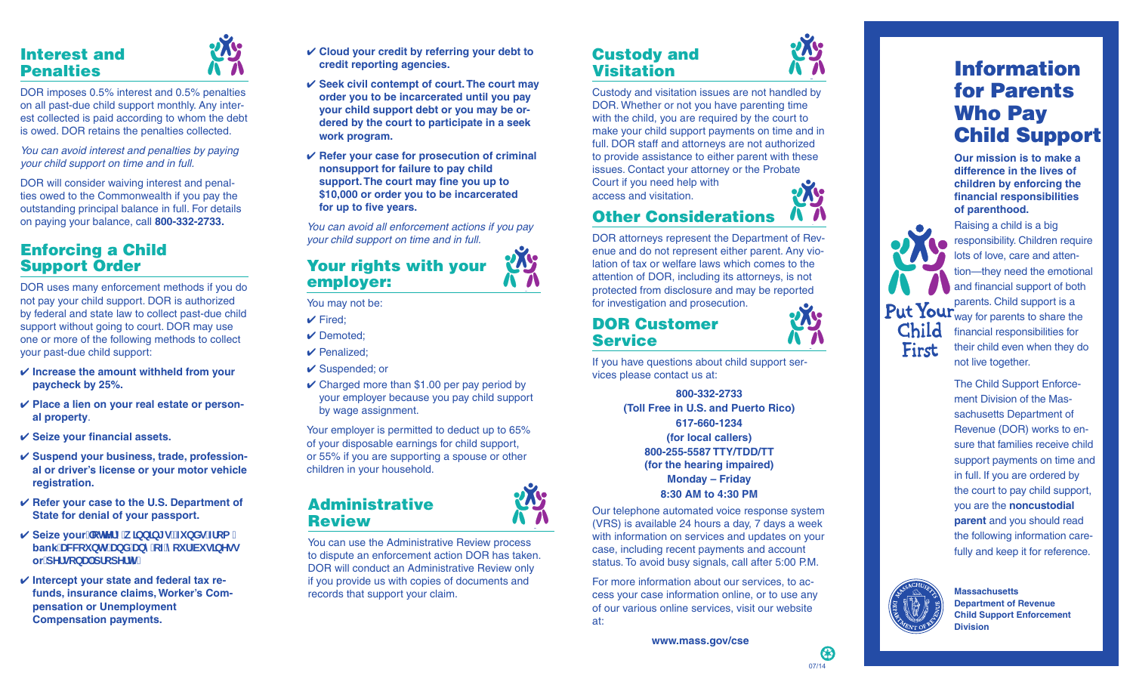### Interest and Penalties



DOR imposes 0.5% interest and 0.5% penalties on all past-due child support monthly. Any inter est collected is paid according to whom the debt is owed. DOR retains the penalties collected.

*You can avoid interest and penalties by paying your child support on time and in full.*

DOR will consider waiving interest and penal ties owed to the Commonwealth if you pay the outstanding principal balance in full. For details on paying your balance, call **800-332-2733.**

### Enforcing a Child Support Order

DOR uses many enforcement methods if you do not pay your child support. DOR is authorized by federal and state law to collect past-due child support without going to court. DOR may use one or more of the following methods to collect your past-due child support:

- ✔ **Increase the amount withheld from your paycheck by 25%.**
- ✔ **Place a lien on your real estate or person al property** .
- ✔ **Seize your financial assets.**
- ✔ **Suspend your business, trade, profession al or driver's license or your motor vehicle registration.**
- ✔ **Refer your case to the U.S. Department of State for denial of your passport.**
- **✓ Seize your** chtYfmk lbblbl gžZ bXg Zca **bank** UWVti blg UbX UbmcZnci f Vi g]bYgg or<sup>*d*YfgcbU<sup>dr</sup>dfcdYfm'</sup>
- ✔ **Intercept your state and federal tax re funds, insurance claims, Worker's Com pensation or Unemployment Compensation payments.**
- ✔ **Cloud your credit by referring your debt to credit reporting agencies.**
- ✔ **Seek civil contempt of court. The court may order you to be incarcerated until you pay your child support debt or you may be or dered by the court to participate in a seek work program.**
- ✔ **Refer your case for prosecution of criminal nonsupport for failure to pay child support. The court may fine you up to \$10,000 or order you to be incarcerated for up to five years.**

*You can avoid all enforcement actions if you pay your child support on time and in full.*

### Your rights with your employer:

You may not be:

- $\checkmark$  Fired:
- ✔ Demoted;
- ✔ Penalized;
- ✔ Suspended; or
- $\checkmark$  Charged more than \$1.00 per pay period by your employer because you pay child support by wage assignment.

Your employer is permitted to deduct up to 65% of your disposable earnings for child support, or 55% if you are supporting a spouse or other children in your household.

### Administrative **Review**

You can use the Administrative Review process to dispute an enforcement action DOR has taken. DOR will conduct an Administrative Review only if you provide us with copies of documents and records that support your claim.

### Custody and **Visitation**



### Other Considerations

DOR attorneys represent the Department of Rev enue and do not represent either parent. Any vio lation of tax or welfare laws which comes to the attention of DOR, including its attorneys, is not protected from disclosure and may be reported for investigation and prosecution.

### DOR Customer **Service**

If you have questions about child support ser vices please contact us at:

> **800-332-2733 (Toll Free in U.S. and Puerto Rico) 617-660-1234 (for local callers) 800-255-5587 TTY/TDD/TT (for the hearing impaired) Monday – Friday 8:30 AM to 4:30 PM**

Our telephone automated voice response system (VRS) is available 24 hours a day, 7 days a week with information on services and updates on your case, including recent payments and account status. To avoid busy signals, call after 5:00 P.M.

For more information about our services, to ac cess your case information online, or to use any of our various online services, visit our website at:



**Our mission is to make a difference in the lives of children by enforcing the financial responsibilities** 

Raising a child is a big responsibility. Children require lots of love, care and atten tion—they need the emotional and financial support of both parents. Child support is a way for parents to share the financial responsibilities for their child even when they do not live together.

The Child Support Enforce ment Division of the Mas sachusetts Department of Revenue (DOR) works to en sure that families receive child support payments on time and in full. If you are ordered by the court to pay child support, you are the **noncustodial parent** and you should read the following information care fully and keep it for reference.



Child First

> **Massachusetts Department of Revenue Child Support Enforcement Division**

## **of parenthood.**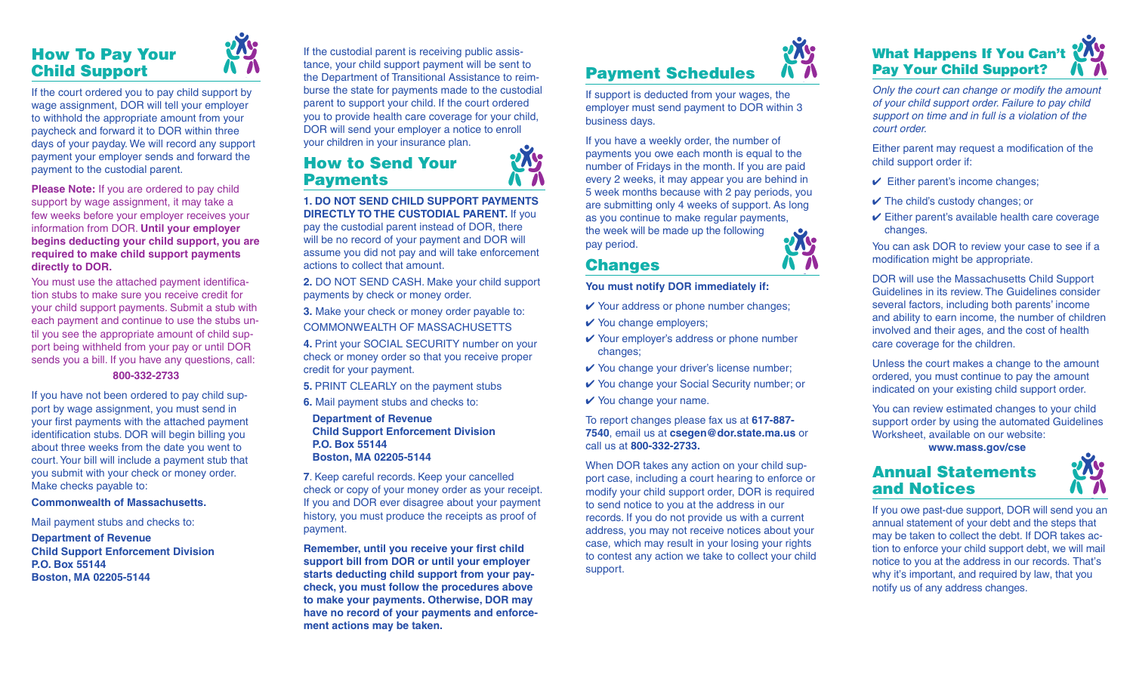### How To Pay Your Child Support

If the court ordered you to pay child support by wage assignment, DOR will tell your employer to withhold the appropriate amount from your paycheck and forward it to DOR within three days of your payday. We will record any support payment your employer sends and forward the payment to the custodial parent.

**Please Note:** If you are ordered to pay child support by wage assignment, it may take a few weeks before your employer receives your information from DOR. **Until your employer begins deducting your child support, you are required to make child support payments directly to DOR.**

You must use the attached payment identification stubs to make sure you receive credit for your child support payments. Submit a stub with each payment and continue to use the stubs until you see the appropriate amount of child support being withheld from your pay or until DOR sends you a bill. If you have any questions, call:

### **800-332-2733**

If you have not been ordered to pay child support by wage assignment, you must send in your first payments with the attached payment identification stubs. DOR will begin billing you about three weeks from the date you went to court. Your bill will include a payment stub that you submit with your check or money order. Make checks payable to:

### **Commonwealth of Massachusetts.**

Mail payment stubs and checks to:

**Department of Revenue Child Support Enforcement Division P.O. Box 55144 Boston, MA 02205-5144**

If the custodial parent is receiving public assistance, your child support payment will be sent to the Department of Transitional Assistance to reimburse the state for payments made to the custodial parent to support your child. If the court ordered you to provide health care coverage for your child, DOR will send your employer a notice to enroll your children in your insurance plan.

### How to Send Your **Payments**

**1. DO NOT SEND CHILD SUPPORT PAYMENTS DIRECTLY TO THE CUSTODIAL PARENT.** If you pay the custodial parent instead of DOR, there will be no record of your payment and DOR will assume you did not pay and will take enforcement actions to collect that amount.

**2.** DO NOT SEND CASH. Make your child support payments by check or money order.

**3.** Make your check or money order payable to: COMMONWEALTH OF MASSACHUSETTS

**4.** Print your SOCIAL SECURITY number on your check or money order so that you receive proper credit for your payment.

**5.** PRINT CLEARLY on the payment stubs

**6.** Mail payment stubs and checks to:

### **Department of Revenue Child Support Enforcement Division P.O. Box 55144 Boston, MA 02205-5144**

**7**. Keep careful records. Keep your cancelled check or copy of your money order as your receipt. If you and DOR ever disagree about your payment history, you must produce the receipts as proof of payment.

**Remember, until you receive your first child support bill from DOR or until your employer starts deducting child support from your paycheck, you must follow the procedures above to make your payments. Otherwise, DOR may have no record of your payments and enforcement actions may be taken.**



If support is deducted from your wages, the employer must send payment to DOR within 3 business days.

If you have a weekly order, the number of payments you owe each month is equal to the number of Fridays in the month. If you are paid every 2 weeks, it may appear you are behind in 5 week months because with 2 pay periods, you are submitting only 4 weeks of support. As long as you continue to make regular payments, the week will be made up the following pay period.

### Changes

**You must notify DOR immediately if:**

- ✔ Your address or phone number changes;
- $\vee$  You change employers;
- ✔ Your employer's address or phone number changes;
- **✓** You change your driver's license number;
- ✔ You change your Social Security number; or
- $\checkmark$  You change your name.

To report changes please fax us at **617-887- 7540**, email us at **csegen@dor.state.ma.us** or call us at **800-332-2733.**

When DOR takes any action on your child support case, including a court hearing to enforce or modify your child support order, DOR is required to send notice to you at the address in our records. If you do not provide us with a current address, you may not receive notices about your case, which may result in your losing your rights to contest any action we take to collect your child support.



*Only the court can change or modify the amount of your child support order. Failure to pay child support on time and in full is a violation of the court order.*

Either parent may request a modification of the child support order if:

- $\vee$  Either parent's income changes;
- $\checkmark$  The child's custody changes; or
- $\checkmark$  Either parent's available health care coverage changes.

You can ask DOR to review your case to see if a modification might be appropriate.

DOR will use the Massachusetts Child Support Guidelines in its review. The Guidelines consider several factors, including both parents' income and ability to earn income, the number of children involved and their ages, and the cost of health care coverage for the children.

Unless the court makes a change to the amount ordered, you must continue to pay the amount indicated on your existing child support order.

You can review estimated changes to your child support order by using the automated Guidelines Worksheet, available on our website:

 **www.mass.gov/cse**

### Annual Statements and Notices



If you owe past-due support, DOR will send you an annual statement of your debt and the steps that may be taken to collect the debt. If DOR takes action to enforce your child support debt, we will mail notice to you at the address in our records. That's why it's important, and required by law, that you notify us of any address changes.